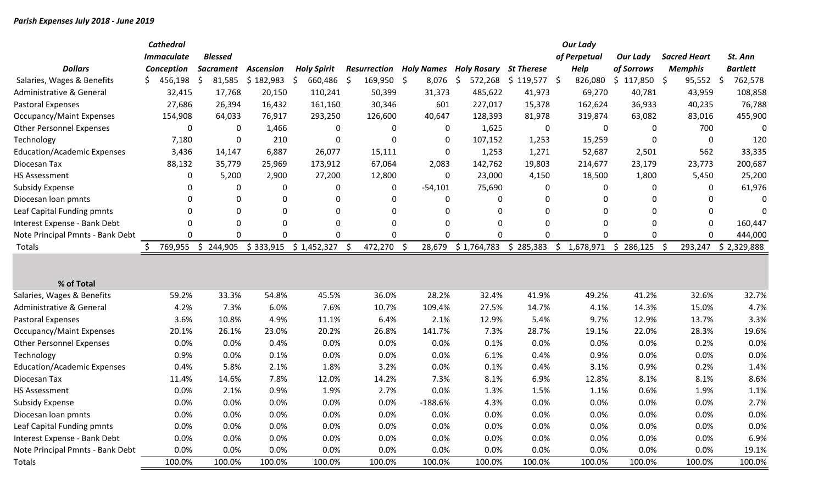|                                     |    | <b>Cathedral</b>  |                  |                  |    |                    |    |              |     |                   |                    |                   |   | <b>Our Lady</b> |                 |     |                     |                 |
|-------------------------------------|----|-------------------|------------------|------------------|----|--------------------|----|--------------|-----|-------------------|--------------------|-------------------|---|-----------------|-----------------|-----|---------------------|-----------------|
|                                     |    | <b>Immaculate</b> | <b>Blessed</b>   |                  |    |                    |    |              |     |                   |                    |                   |   | of Perpetual    | <b>Our Lady</b> |     | <b>Sacred Heart</b> | St. Ann         |
| <b>Dollars</b>                      |    | Conception        | <b>Sacrament</b> | <b>Ascension</b> |    | <b>Holy Spirit</b> |    | Resurrection |     | <b>Holy Names</b> | <b>Holy Rosary</b> | <b>St Therese</b> |   | <b>Help</b>     | of Sorrows      |     | <b>Memphis</b>      | <b>Bartlett</b> |
| Salaries, Wages & Benefits          | S. | 456,198           | \$<br>81,585     | \$182,983        | .S | 660,486            | \$ | 169,950 \$   |     | 8,076             | \$<br>572,268      | $$119,577$ \$     |   | 826,080         | \$<br>117,850   | -\$ | 95,552              | \$<br>762,578   |
| Administrative & General            |    | 32,415            | 17,768           | 20,150           |    | 110,241            |    | 50,399       |     | 31,373            | 485,622            | 41,973            |   | 69,270          | 40,781          |     | 43,959              | 108,858         |
| <b>Pastoral Expenses</b>            |    | 27,686            | 26,394           | 16,432           |    | 161,160            |    | 30,346       |     | 601               | 227,017            | 15,378            |   | 162,624         | 36,933          |     | 40,235              | 76,788          |
| <b>Occupancy/Maint Expenses</b>     |    | 154,908           | 64,033           | 76,917           |    | 293,250            |    | 126,600      |     | 40,647            | 128,393            | 81,978            |   | 319,874         | 63,082          |     | 83,016              | 455,900         |
| <b>Other Personnel Expenses</b>     |    | 0                 | 0                | 1,466            |    | 0                  |    | 0            |     | 0                 | 1,625              | 0                 |   | 0               |                 | 0   | 700                 | 0               |
| Technology                          |    | 7,180             | 0                | 210              |    | 0                  |    | 0            |     | 0                 | 107,152            | 1,253             |   | 15,259          |                 | 0   | 0                   | 120             |
| <b>Education/Academic Expenses</b>  |    | 3,436             | 14,147           | 6,887            |    | 26,077             |    | 15,111       |     | 0                 | 1,253              | 1,271             |   | 52,687          | 2,501           |     | 562                 | 33,335          |
| Diocesan Tax                        |    | 88,132            | 35,779           | 25,969           |    | 173,912            |    | 67,064       |     | 2,083             | 142,762            | 19,803            |   | 214,677         | 23,179          |     | 23,773              | 200,687         |
| <b>HS Assessment</b>                |    | 0                 | 5,200            | 2,900            |    | 27,200             |    | 12,800       |     | 0                 | 23,000             | 4,150             |   | 18,500          | 1,800           |     | 5,450               | 25,200          |
| <b>Subsidy Expense</b>              |    | 0                 | 0                | 0                |    | 0                  |    | 0            |     | $-54,101$         | 75,690             | 0                 |   | 0               |                 | 0   | 0                   | 61,976          |
| Diocesan loan pmnts                 |    | 0                 | 0                | 0                |    | 0                  |    | 0            |     | 0                 | 0                  | 0                 |   | 0               |                 | O   | $\Omega$            |                 |
| Leaf Capital Funding pmnts          |    | 0                 | 0                | 0                |    | $\mathbf 0$        |    | 0            |     | 0                 | 0                  | 0                 |   | 0               |                 | 0   | 0                   | ∩               |
| Interest Expense - Bank Debt        |    | 0                 | 0                | 0                |    | 0                  |    | 0            |     | 0                 | 0                  | $\mathbf{0}$      |   | $\mathbf{0}$    |                 | 0   | 0                   | 160,447         |
| Note Principal Pmnts - Bank Debt    |    | O                 | 0                | ∩                |    | $\mathbf 0$        |    | ŋ            |     | O                 | $\Omega$           | 0                 |   | $\Omega$        |                 | 0   | $\mathbf{0}$        | 444,000         |
| Totals                              |    | 769,955           | \$<br>244,905    | \$333,915        |    | \$1,452,327        | Ŝ. | 472,270      | - S | 28,679            | \$1,764,783        | 285,383<br>\$     | S | 1,678,971       | 286,125<br>\$   | -\$ | 293,247             | \$2,329,888     |
|                                     |    |                   |                  |                  |    |                    |    |              |     |                   |                    |                   |   |                 |                 |     |                     |                 |
|                                     |    |                   |                  |                  |    |                    |    |              |     |                   |                    |                   |   |                 |                 |     |                     |                 |
| % of Total                          |    |                   |                  |                  |    |                    |    |              |     |                   |                    |                   |   |                 |                 |     |                     |                 |
| Salaries, Wages & Benefits          |    | 59.2%             | 33.3%            | 54.8%            |    | 45.5%              |    | 36.0%        |     | 28.2%             | 32.4%              | 41.9%             |   | 49.2%           | 41.2%           |     | 32.6%               | 32.7%           |
| <b>Administrative &amp; General</b> |    | 4.2%              | 7.3%             | 6.0%             |    | 7.6%               |    | 10.7%        |     | 109.4%            | 27.5%              | 14.7%             |   | 4.1%            | 14.3%           |     | 15.0%               | 4.7%            |
| Pastoral Expenses                   |    | 3.6%              | 10.8%            | 4.9%             |    | 11.1%              |    | 6.4%         |     | 2.1%              | 12.9%              | 5.4%              |   | 9.7%            | 12.9%           |     | 13.7%               | 3.3%            |
| <b>Occupancy/Maint Expenses</b>     |    | 20.1%             | 26.1%            | 23.0%            |    | 20.2%              |    | 26.8%        |     | 141.7%            | 7.3%               | 28.7%             |   | 19.1%           | 22.0%           |     | 28.3%               | 19.6%           |
| <b>Other Personnel Expenses</b>     |    | 0.0%              | 0.0%             | 0.4%             |    | 0.0%               |    | 0.0%         |     | 0.0%              | 0.1%               | 0.0%              |   | 0.0%            | 0.0%            |     | 0.2%                | 0.0%            |
| Technology                          |    | 0.9%              | 0.0%             | 0.1%             |    | 0.0%               |    | 0.0%         |     | 0.0%              | 6.1%               | 0.4%              |   | 0.9%            | 0.0%            |     | 0.0%                | 0.0%            |
| <b>Education/Academic Expenses</b>  |    | 0.4%              | 5.8%             | 2.1%             |    | 1.8%               |    | 3.2%         |     | 0.0%              | 0.1%               | 0.4%              |   | 3.1%            | 0.9%            |     | 0.2%                | 1.4%            |
| Diocesan Tax                        |    | 11.4%             | 14.6%            | 7.8%             |    | 12.0%              |    | 14.2%        |     | 7.3%              | 8.1%               | 6.9%              |   | 12.8%           | 8.1%            |     | 8.1%                | 8.6%            |
| <b>HS Assessment</b>                |    | 0.0%              | 2.1%             | 0.9%             |    | 1.9%               |    | 2.7%         |     | 0.0%              | 1.3%               | 1.5%              |   | 1.1%            | 0.6%            |     | 1.9%                | 1.1%            |
| <b>Subsidy Expense</b>              |    | 0.0%              | 0.0%             | 0.0%             |    | 0.0%               |    | 0.0%         |     | $-188.6%$         | 4.3%               | 0.0%              |   | 0.0%            | 0.0%            |     | 0.0%                | 2.7%            |
| Diocesan loan pmnts                 |    | 0.0%              | 0.0%             | 0.0%             |    | 0.0%               |    | 0.0%         |     | 0.0%              | 0.0%               | 0.0%              |   | 0.0%            | 0.0%            |     | 0.0%                | 0.0%            |
| Leaf Capital Funding pmnts          |    | 0.0%              | 0.0%             | 0.0%             |    | 0.0%               |    | 0.0%         |     | 0.0%              | 0.0%               | 0.0%              |   | 0.0%            | 0.0%            |     | 0.0%                | 0.0%            |
| Interest Expense - Bank Debt        |    | 0.0%              | 0.0%             | 0.0%             |    | 0.0%               |    | 0.0%         |     | 0.0%              | 0.0%               | 0.0%              |   | 0.0%            | 0.0%            |     | 0.0%                | 6.9%            |
| Note Principal Pmnts - Bank Debt    |    | 0.0%              | 0.0%             | 0.0%             |    | 0.0%               |    | 0.0%         |     | 0.0%              | 0.0%               | 0.0%              |   | 0.0%            | 0.0%            |     | 0.0%                | 19.1%           |
| Totals                              |    | 100.0%            | 100.0%           | 100.0%           |    | 100.0%             |    | 100.0%       |     | 100.0%            | 100.0%             | 100.0%            |   | 100.0%          | 100.0%          |     | 100.0%              | 100.0%          |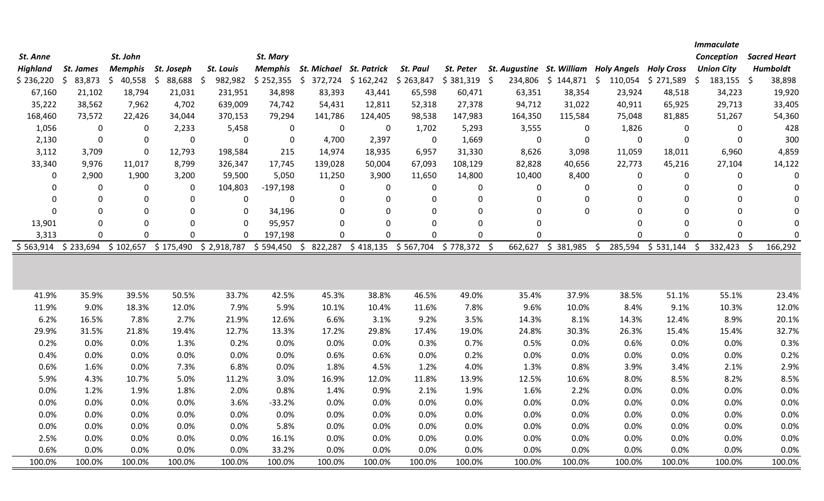|                 |               |                               |              |               |                  |                                 |                   |                 |              |                                       |                       |               |                   | <b>Immaculate</b>  |                     |
|-----------------|---------------|-------------------------------|--------------|---------------|------------------|---------------------------------|-------------------|-----------------|--------------|---------------------------------------|-----------------------|---------------|-------------------|--------------------|---------------------|
| St. Anne        |               | St. John                      |              |               | St. Mary         |                                 |                   |                 |              |                                       |                       |               |                   | Conception         | <b>Sacred Heart</b> |
| <b>Highland</b> | St. James     | <b>Memphis</b>                | St. Joseph   | St. Louis     |                  | Memphis St. Michael St. Patrick |                   | <b>St. Paul</b> | St. Peter    | St. Augustine St. William Holy Angels |                       |               | <b>Holv Cross</b> | <b>Union City</b>  | <b>Humboldt</b>     |
| \$236,220       | 83,873<br>\$. | $\ddot{\mathsf{S}}$<br>40,558 | \$<br>88,688 | 982,982<br>\$ | \$252,355        | \$                              | 372,724 \$162,242 | \$263,847       | \$381,319    | -\$                                   | 234,806 \$ 144,871 \$ | 110,054       | \$271,589         | \$<br>$183,155$ \$ | 38,898              |
| 67,160          | 21,102        | 18,794                        | 21,031       | 231,951       | 34,898           | 83,393                          | 43,441            | 65,598          | 60,471       | 63,351                                | 38,354                | 23,924        | 48,518            | 34,223             | 19,920              |
| 35,222          | 38,562        | 7,962                         | 4,702        | 639,009       | 74,742           | 54,431                          | 12,811            | 52,318          | 27,378       | 94,712                                | 31,022                | 40,911        | 65,925            | 29,713             | 33,405              |
| 168,460         | 73,572        | 22,426                        | 34,044       | 370,153       | 79,294           | 141,786                         | 124,405           | 98,538          | 147,983      | 164,350                               | 115,584               | 75,048        | 81,885            | 51,267             | 54,360              |
| 1,056           | $\mathbf 0$   | 0                             | 2,233        | 5,458         | $\boldsymbol{0}$ | $\mathbf 0$                     | 0                 | 1,702           | 5,293        | 3,555                                 | 0                     | 1,826         | 0                 | 0                  | 428                 |
| 2,130           | $\mathbf 0$   | $\mathbf 0$                   | $\mathbf{0}$ | 0             | $\mathbf 0$      | 4,700                           | 2,397             | $\mathbf 0$     | 1,669        | $\mathbf 0$                           | $\Omega$              | $\Omega$      | 0                 | $\mathbf{0}$       | 300                 |
| 3,112           | 3,709         | $\mathbf 0$                   | 12,793       | 198,584       | 215              | 14,974                          | 18,935            | 6,957           | 31,330       | 8,626                                 | 3,098                 | 11,059        | 18,011            | 6,960              | 4,859               |
| 33,340          | 9,976         | 11,017                        | 8,799        | 326,347       | 17,745           | 139,028                         | 50,004            | 67,093          | 108,129      | 82,828                                | 40,656                | 22,773        | 45,216            | 27,104             | 14,122              |
| $\Omega$        | 2,900         | 1,900                         | 3,200        | 59,500        | 5,050            | 11,250                          | 3,900             | 11,650          | 14,800       | 10,400                                | 8,400                 | 0             | 0                 | $\Omega$           | 0                   |
| $\mathbf 0$     | $\mathbf 0$   | 0                             | 0            | 104,803       | $-197,198$       | 0                               | 0                 | 0               | 0            | 0                                     | 0                     | $\Omega$      | 0                 | $\mathbf 0$        | $\mathbf 0$         |
| 0               | 0             | $\mathbf 0$                   | 0            | 0             | 0                | $\mathbf 0$                     | 0                 | $\Omega$        | $\mathbf 0$  | 0                                     | 0                     | $\Omega$      | 0                 | $\Omega$           | $\Omega$            |
| $\Omega$        | $\mathbf 0$   | $\mathbf 0$                   | 0            | 0             | 34,196           | $\mathbf 0$                     | 0                 | $\Omega$        | 0            | 0                                     | 0                     | $\Omega$      | 0                 | $\mathbf 0$        | $\Omega$            |
| 13,901          | $\mathbf 0$   | $\mathbf 0$                   | 0            | 0             | 95,957           | $\mathbf 0$                     | 0                 | $\Omega$        | $\mathbf 0$  | 0                                     |                       | $\Omega$      | $\Omega$          | $\Omega$           | $\mathbf 0$         |
| 3,313           | $\mathbf{0}$  | $\Omega$                      | O            | O             | 197,198          | $\mathbf{0}$                    | 0                 | $\Omega$        | $\Omega$     | O                                     |                       | $\Omega$      | O                 | $\Omega$           | $\Omega$            |
| \$563,914       | \$233,694     | \$102,657                     | \$175,490    | \$2,918,787   | \$594,450        | 822,287<br>\$                   | \$418,135         | \$567,704       | \$778,372 \$ | 662,627                               | \$381,985             | 285,594<br>\$ | \$531,144         | 332,423 \$<br>\$   | 166,292             |
|                 |               |                               |              |               |                  |                                 |                   |                 |              |                                       |                       |               |                   |                    |                     |
|                 |               |                               |              |               |                  |                                 |                   |                 |              |                                       |                       |               |                   |                    |                     |
|                 |               |                               |              |               |                  |                                 |                   |                 |              |                                       |                       |               |                   |                    |                     |
| 41.9%           | 35.9%         | 39.5%                         | 50.5%        | 33.7%         | 42.5%            | 45.3%                           | 38.8%             | 46.5%           | 49.0%        | 35.4%                                 | 37.9%                 | 38.5%         | 51.1%             | 55.1%              | 23.4%               |
| 11.9%           | 9.0%          | 18.3%                         | 12.0%        | 7.9%          | 5.9%             | 10.1%                           | 10.4%             | 11.6%           | 7.8%         | 9.6%                                  | 10.0%                 | 8.4%          | 9.1%              | 10.3%              | 12.0%               |
| 6.2%            | 16.5%         | 7.8%                          | 2.7%         | 21.9%         | 12.6%            | 6.6%                            | 3.1%              | 9.2%            | 3.5%         | 14.3%                                 | 8.1%                  | 14.3%         | 12.4%             | 8.9%               | 20.1%               |
| 29.9%           | 31.5%         | 21.8%                         | 19.4%        | 12.7%         | 13.3%            | 17.2%                           | 29.8%             | 17.4%           | 19.0%        | 24.8%                                 | 30.3%                 | 26.3%         | 15.4%             | 15.4%              | 32.7%               |
| 0.2%            | 0.0%          | 0.0%                          | 1.3%         | 0.2%          | 0.0%             | 0.0%                            | 0.0%              | 0.3%            | 0.7%         | 0.5%                                  | 0.0%                  | 0.6%          | 0.0%              | 0.0%               | 0.3%                |
| 0.4%            | 0.0%          | 0.0%                          | 0.0%         | 0.0%          | 0.0%             | 0.6%                            | 0.6%              | 0.0%            | 0.2%         | 0.0%                                  | 0.0%                  | 0.0%          | 0.0%              | 0.0%               | 0.2%                |
| 0.6%            | 1.6%          | 0.0%                          | 7.3%         | 6.8%          | 0.0%             | 1.8%                            | 4.5%              | 1.2%            | 4.0%         | 1.3%                                  | 0.8%                  | 3.9%          | 3.4%              | 2.1%               | 2.9%                |
| 5.9%            | 4.3%          | 10.7%                         | 5.0%         | 11.2%         | 3.0%             | 16.9%                           | 12.0%             | 11.8%           | 13.9%        | 12.5%                                 | 10.6%                 | 8.0%          | 8.5%              | 8.2%               | 8.5%                |
| 0.0%            | 1.2%          | 1.9%                          | 1.8%         | 2.0%          | 0.8%             | 1.4%                            | 0.9%              | 2.1%            | 1.9%         | 1.6%                                  | 2.2%                  | 0.0%          | 0.0%              | 0.0%               | 0.0%                |
| 0.0%            | 0.0%          | 0.0%                          | 0.0%         | 3.6%          | $-33.2%$         | 0.0%                            | 0.0%              | 0.0%            | 0.0%         | 0.0%                                  | 0.0%                  | 0.0%          | 0.0%              | 0.0%               | 0.0%                |
| 0.0%            | 0.0%          | 0.0%                          | 0.0%         | 0.0%          | 0.0%             | 0.0%                            | 0.0%              | 0.0%            | 0.0%         | 0.0%                                  | 0.0%                  | 0.0%          | 0.0%              | 0.0%               | 0.0%                |
| 0.0%            | 0.0%          | 0.0%                          | 0.0%         | 0.0%          | 5.8%             | 0.0%                            | $0.0\%$           | 0.0%            | 0.0%         | 0.0%                                  | 0.0%                  | 0.0%          | 0.0%              | 0.0%               | 0.0%                |
| 2.5%            | 0.0%          | 0.0%                          | 0.0%         | 0.0%          | 16.1%            | 0.0%                            | 0.0%              | 0.0%            | 0.0%         | 0.0%                                  | 0.0%                  | 0.0%          | 0.0%              | 0.0%               | 0.0%                |
| 0.6%            | 0.0%          | 0.0%                          | 0.0%         | 0.0%          | 33.2%            | 0.0%                            | 0.0%              | 0.0%            | 0.0%         | 0.0%                                  | 0.0%                  | 0.0%          | 0.0%              | 0.0%               | 0.0%                |
| 100.0%          | 100.0%        | 100.0%                        | 100.0%       | 100.0%        | 100.0%           | 100.0%                          | 100.0%            | 100.0%          | 100.0%       | 100.0%                                | 100.0%                | 100.0%        | 100.0%            | 100.0%             | 100.0%              |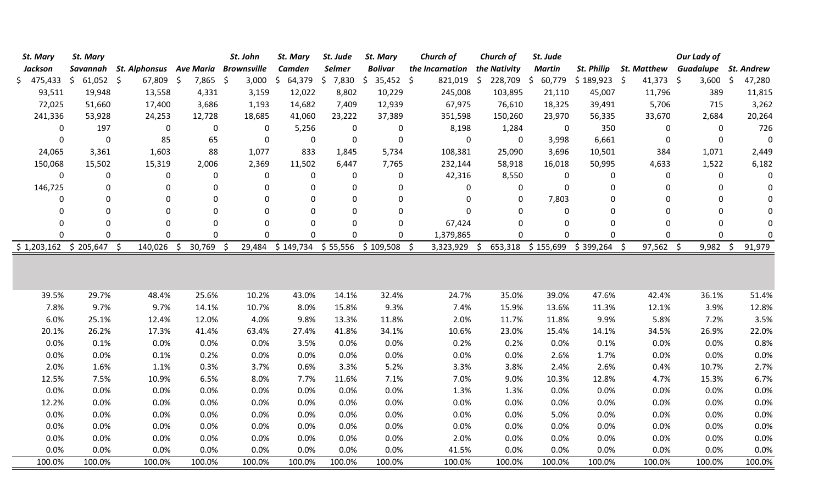| St. Mary                  | St. Mary       |                                  |                  | St. John           | St. Mary                     | St. Jude       | St. Mary       | Church of        | Church of    | St. Jude                    |             |                              | <b>Our Lady of</b> |                               |
|---------------------------|----------------|----------------------------------|------------------|--------------------|------------------------------|----------------|----------------|------------------|--------------|-----------------------------|-------------|------------------------------|--------------------|-------------------------------|
| <b>Jackson</b>            |                | Savannah St. Alphonsus Ave Maria |                  | <b>Brownsville</b> | <b>Camden</b>                | <b>Selmer</b>  | <b>Bolivar</b> | the Incarnation  | the Nativity | <b>Martin</b>               | St. Philip  | <b>St. Matthew Guadalupe</b> |                    | <b>St. Andrew</b>             |
| $$475,433 \t$61,052 \t$$  |                | 67,809 \$                        | $7,865$ \$       | 3,000              | \$ 64,379                    | \$7,830        | $$35,452$ \$   | 821,019 \$       | 228,709 \$   | 60,779                      | \$189,923\$ | $41,373$ \$                  | 3,600              | \$<br>47,280                  |
| 93,511                    | 19,948         | 13,558                           | 4,331            | 3,159              | 12,022                       | 8,802          | 10,229         | 245,008          | 103,895      | 21,110                      | 45,007      | 11,796                       | 389                | 11,815                        |
| 72,025                    | 51,660         | 17,400                           | 3,686            | 1,193              | 14,682                       | 7,409          | 12,939         | 67,975           | 76,610       | 18,325                      | 39,491      | 5,706                        | 715                | 3,262                         |
| 241,336                   | 53,928         | 24,253                           | 12,728           | 18,685             | 41,060                       | 23,222         | 37,389         | 351,598          | 150,260      | 23,970                      | 56,335      | 33,670                       | 2,684              | 20,264                        |
| 0                         | 197            | 0                                | 0                | 0                  | 5,256                        | 0              | 0              | 8,198            | 1,284        | 0                           | 350         | 0                            | 0                  | 726                           |
| $\Omega$                  | $\pmb{0}$      | 85                               | 65               | 0                  | 0                            | $\mathbf 0$    | $\mathbf 0$    | $\Omega$         | $\mathbf 0$  | 3,998                       | 6,661       | $\mathbf{0}$                 | 0                  | $\Omega$                      |
| 24,065                    | 3,361          | 1,603                            | 88               | 1,077              | 833                          | 1,845          | 5,734          | 108,381          | 25,090       | 3,696                       | 10,501      | 384                          | 1,071              | 2,449                         |
| 150,068                   | 15,502         | 15,319                           | 2,006            | 2,369              | 11,502                       | 6,447          | 7,765          | 232,144          | 58,918       | 16,018                      | 50,995      | 4,633                        | 1,522              | 6,182                         |
| $\mathbf 0$               | $\pmb{0}$      | 0                                | $\boldsymbol{0}$ | 0                  | 0                            | 0              | 0              | 42,316           | 8,550        | 0                           | 0           | 0                            | 0                  | $\Omega$                      |
| 146,725                   | 0              | 0                                | $\mathbf 0$      | 0                  | 0                            | $\mathbf 0$    | 0              | $\Omega$         | 0            | $\mathbf 0$                 | 0           | 0                            | 0                  |                               |
| 0                         | $\mathbf 0$    | 0                                | $\mathbf 0$      | 0                  | 0                            | $\Omega$       | 0              | $\Omega$         | $\mathbf{0}$ | 7,803                       | 0           | 0                            | 0                  | ŋ                             |
| $\Omega$                  | 0              | 0                                | 0                | 0                  | 0                            | $\Omega$       | 0              | $\Omega$         | $\Omega$     | 0                           | $\mathbf 0$ | $\Omega$                     | 0                  |                               |
| $\Omega$                  | $\overline{0}$ | 0                                | 0                | 0                  | 0                            | $\overline{0}$ | 0              | 67,424           | $\Omega$     | 0                           | 0           | 0                            | 0                  | $\Omega$                      |
| O                         | 0              | 0                                | 0                | 0                  | 0                            | $\Omega$       | 0              | 1,379,865        | $\Omega$     | $\mathbf 0$                 | $\mathbf 0$ | 0                            | 0                  | $\Omega$                      |
| $$1,203,162 \$205,647 \$$ |                | 140,026                          | 30,769<br>\$     | 29,484<br>\$       | \$149,734 \$55,556 \$109,508 |                |                | -\$<br>3,323,929 | \$           | 653,318 \$155,699 \$399,264 |             | 97,562 \$<br>\$              | 9,982              | 91,979<br>$\ddot{\mathsf{s}}$ |
|                           |                |                                  |                  |                    |                              |                |                |                  |              |                             |             |                              |                    |                               |
| 39.5%                     | 29.7%          | 48.4%                            | 25.6%            | 10.2%              | 43.0%                        | 14.1%          | 32.4%          | 24.7%            | 35.0%        | 39.0%                       | 47.6%       | 42.4%                        | 36.1%              | 51.4%                         |
| 7.8%                      | 9.7%           | 9.7%                             | 14.1%            | 10.7%              | 8.0%                         | 15.8%          | 9.3%           | 7.4%             | 15.9%        | 13.6%                       | 11.3%       | 12.1%                        | 3.9%               | 12.8%                         |
| 6.0%                      | 25.1%          | 12.4%                            | 12.0%            | 4.0%               | 9.8%                         | 13.3%          | 11.8%          | 2.0%             | 11.7%        | 11.8%                       | 9.9%        | 5.8%                         | 7.2%               | 3.5%                          |
| 20.1%                     | 26.2%          | 17.3%                            | 41.4%            | 63.4%              | 27.4%                        | 41.8%          | 34.1%          | 10.6%            | 23.0%        | 15.4%                       | 14.1%       | 34.5%                        | 26.9%              | 22.0%                         |
| 0.0%                      | 0.1%           | 0.0%                             | 0.0%             | 0.0%               | 3.5%                         | 0.0%           | 0.0%           | 0.2%             | 0.2%         | 0.0%                        | 0.1%        | 0.0%                         | 0.0%               | 0.8%                          |
| 0.0%                      | 0.0%           | 0.1%                             | 0.2%             | 0.0%               | 0.0%                         | 0.0%           | 0.0%           | 0.0%             | 0.0%         | 2.6%                        | 1.7%        | 0.0%                         | 0.0%               | 0.0%                          |
| 2.0%                      | 1.6%           | 1.1%                             | 0.3%             | 3.7%               | 0.6%                         | 3.3%           | 5.2%           | 3.3%             | 3.8%         | 2.4%                        | 2.6%        | 0.4%                         | 10.7%              | 2.7%                          |
| 12.5%                     | 7.5%           | 10.9%                            | 6.5%             | 8.0%               | 7.7%                         | 11.6%          | 7.1%           | 7.0%             | 9.0%         | 10.3%                       | 12.8%       | 4.7%                         | 15.3%              | 6.7%                          |
| 0.0%                      | 0.0%           | 0.0%                             | 0.0%             | 0.0%               | 0.0%                         | 0.0%           | 0.0%           | 1.3%             | 1.3%         | 0.0%                        | 0.0%        | 0.0%                         | 0.0%               | 0.0%                          |
| 12.2%                     | 0.0%           | 0.0%                             | 0.0%             | 0.0%               | 0.0%                         | 0.0%           | 0.0%           | 0.0%             | 0.0%         | 0.0%                        | 0.0%        | 0.0%                         | 0.0%               | 0.0%                          |
| 0.0%                      | 0.0%           | 0.0%                             | 0.0%             | 0.0%               | 0.0%                         | 0.0%           | 0.0%           | 0.0%             | 0.0%         | 5.0%                        | 0.0%        | 0.0%                         | 0.0%               | 0.0%                          |
| 0.0%                      | 0.0%           | 0.0%                             | 0.0%             | 0.0%               | 0.0%                         | 0.0%           | 0.0%           | 0.0%             | 0.0%         | 0.0%                        | 0.0%        | 0.0%                         | 0.0%               | 0.0%                          |
| 0.0%                      | 0.0%           | 0.0%                             | 0.0%             | 0.0%               | 0.0%                         | 0.0%           | 0.0%           | 2.0%             | 0.0%         | 0.0%                        | 0.0%        | 0.0%                         | 0.0%               | 0.0%                          |
| 0.0%                      | 0.0%           | 0.0%                             | 0.0%             | 0.0%               | 0.0%                         | 0.0%           | 0.0%           | 41.5%            | 0.0%         | 0.0%                        | 0.0%        | 0.0%                         | 0.0%               | 0.0%                          |
| 100.0%                    | 100.0%         | 100.0%                           | 100.0%           | 100.0%             | 100.0%                       | 100.0%         | 100.0%         | 100.0%           | 100.0%       | 100.0%                      | 100.0%      | 100.0%                       | 100.0%             | 100.0%                        |